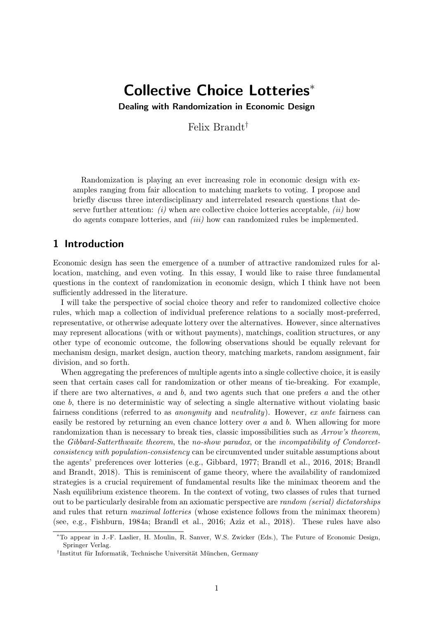## Collective Choice Lotteries<sup>∗</sup>

Dealing with Randomization in Economic Design

Felix Brandt†

Randomization is playing an ever increasing role in economic design with examples ranging from fair allocation to matching markets to voting. I propose and briefly discuss three interdisciplinary and interrelated research questions that deserve further attention:  $(i)$  when are collective choice lotteries acceptable,  $(ii)$  how do agents compare lotteries, and (iii) how can randomized rules be implemented.

## 1 Introduction

Economic design has seen the emergence of a number of attractive randomized rules for allocation, matching, and even voting. In this essay, I would like to raise three fundamental questions in the context of randomization in economic design, which I think have not been sufficiently addressed in the literature.

I will take the perspective of social choice theory and refer to randomized collective choice rules, which map a collection of individual preference relations to a socially most-preferred, representative, or otherwise adequate lottery over the alternatives. However, since alternatives may represent allocations (with or without payments), matchings, coalition structures, or any other type of economic outcome, the following observations should be equally relevant for mechanism design, market design, auction theory, matching markets, random assignment, fair division, and so forth.

When aggregating the preferences of multiple agents into a single collective choice, it is easily seen that certain cases call for randomization or other means of tie-breaking. For example, if there are two alternatives,  $a$  and  $b$ , and two agents such that one prefers  $a$  and the other one b, there is no deterministic way of selecting a single alternative without violating basic fairness conditions (referred to as anonymity and neutrality). However, ex ante fairness can easily be restored by returning an even chance lottery over a and b. When allowing for more randomization than is necessary to break ties, classic impossibilities such as Arrow's theorem, the Gibbard-Satterthwaite theorem, the no-show paradox, or the incompatibility of Condorcetconsistency with population-consistency can be circumvented under suitable assumptions about the agents' preferences over lotteries (e.g., [Gibbard, 1977;](#page-4-0) [Brandl et al., 2016,](#page-4-1) [2018;](#page-4-2) [Brandl](#page-4-3) [and Brandt, 2018\)](#page-4-3). This is reminiscent of game theory, where the availability of randomized strategies is a crucial requirement of fundamental results like the minimax theorem and the Nash equilibrium existence theorem. In the context of voting, two classes of rules that turned out to be particularly desirable from an axiomatic perspective are random (serial) dictatorships and rules that return *maximal lotteries* (whose existence follows from the minimax theorem) (see, e.g., [Fishburn, 1984a;](#page-4-4) [Brandl et al., 2016;](#page-4-1) [Aziz et al., 2018\)](#page-3-0). These rules have also

<sup>∗</sup>To appear in J.-F. Laslier, H. Moulin, R. Sanver, W.S. Zwicker (Eds.), The Future of Economic Design, Springer Verlag.

<sup>†</sup> Institut für Informatik, Technische Universität München, Germany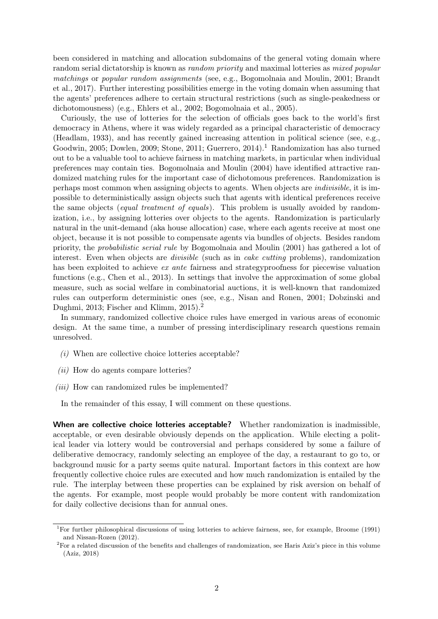been considered in matching and allocation subdomains of the general voting domain where random serial dictatorship is known as random priority and maximal lotteries as mixed popular matchings or popular random assignments (see, e.g., [Bogomolnaia and Moulin, 2001;](#page-3-1) [Brandt](#page-4-5) [et al., 2017\)](#page-4-5). Further interesting possibilities emerge in the voting domain when assuming that the agents' preferences adhere to certain structural restrictions (such as single-peakedness or dichotomousness) (e.g., [Ehlers et al., 2002;](#page-4-6) [Bogomolnaia et al., 2005\)](#page-3-2).

Curiously, the use of lotteries for the selection of officials goes back to the world's first democracy in Athens, where it was widely regarded as a principal characteristic of democracy [\(Headlam, 1933\)](#page-5-0), and has recently gained increasing attention in political science (see, e.g., [Goodwin, 2005;](#page-4-7) [Dowlen, 2009;](#page-4-8) [Stone, 2011;](#page-5-1) Guerrero,  $2014$  $2014$  $2014$ ).<sup>1</sup> Randomization has also turned out to be a valuable tool to achieve fairness in matching markets, in particular when individual preferences may contain ties. [Bogomolnaia and Moulin](#page-3-3) [\(2004\)](#page-3-3) have identified attractive randomized matching rules for the important case of dichotomous preferences. Randomization is perhaps most common when assigning objects to agents. When objects are indivisible, it is impossible to deterministically assign objects such that agents with identical preferences receive the same objects (equal treatment of equals). This problem is usually avoided by randomization, i.e., by assigning lotteries over objects to the agents. Randomization is particularly natural in the unit-demand (aka house allocation) case, where each agents receive at most one object, because it is not possible to compensate agents via bundles of objects. Besides random priority, the probabilistic serial rule by [Bogomolnaia and Moulin](#page-3-1) [\(2001\)](#page-3-1) has gathered a lot of interest. Even when objects are *divisible* (such as in *cake cutting problems*), randomization has been exploited to achieve ex ante fairness and strategyproofness for piecewise valuation functions (e.g., [Chen et al., 2013\)](#page-4-10). In settings that involve the approximation of some global measure, such as social welfare in combinatorial auctions, it is well-known that randomized rules can outperform deterministic ones (see, e.g., [Nisan and Ronen, 2001;](#page-5-2) [Dobzinski and](#page-4-11) [Dughmi, 2013;](#page-4-11) [Fischer and Klimm, 2015\)](#page-4-12).<sup>[2](#page-1-1)</sup>

In summary, randomized collective choice rules have emerged in various areas of economic design. At the same time, a number of pressing interdisciplinary research questions remain unresolved.

- (i) When are collective choice lotteries acceptable?
- (*ii*) How do agents compare lotteries?
- (*iii*) How can randomized rules be implemented?
	- In the remainder of this essay, I will comment on these questions.

When are collective choice lotteries acceptable? Whether randomization is inadmissible. acceptable, or even desirable obviously depends on the application. While electing a political leader via lottery would be controversial and perhaps considered by some a failure of deliberative democracy, randomly selecting an employee of the day, a restaurant to go to, or background music for a party seems quite natural. Important factors in this context are how frequently collective choice rules are executed and how much randomization is entailed by the rule. The interplay between these properties can be explained by risk aversion on behalf of the agents. For example, most people would probably be more content with randomization for daily collective decisions than for annual ones.

<span id="page-1-0"></span><sup>1</sup>For further philosophical discussions of using lotteries to achieve fairness, see, for example, [Broome](#page-4-13) [\(1991\)](#page-4-13) and [Nissan-Rozen](#page-5-3) [\(2012\)](#page-5-3).

<span id="page-1-1"></span><sup>&</sup>lt;sup>2</sup>For a related discussion of the benefits and challenges of randomization, see Haris Aziz's piece in this volume [\(Aziz, 2018\)](#page-3-4)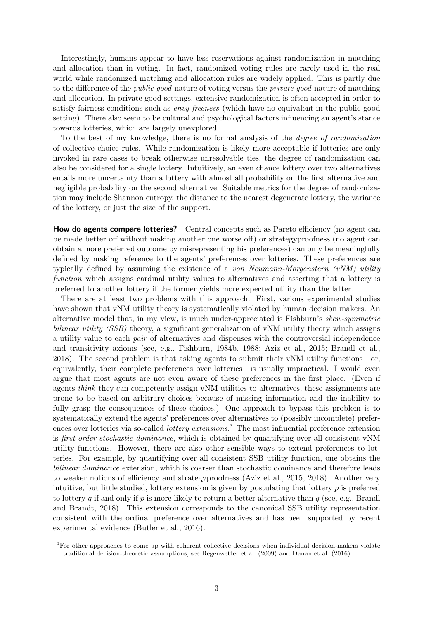Interestingly, humans appear to have less reservations against randomization in matching and allocation than in voting. In fact, randomized voting rules are rarely used in the real world while randomized matching and allocation rules are widely applied. This is partly due to the difference of the public good nature of voting versus the private good nature of matching and allocation. In private good settings, extensive randomization is often accepted in order to satisfy fairness conditions such as envy-freeness (which have no equivalent in the public good setting). There also seem to be cultural and psychological factors influencing an agent's stance towards lotteries, which are largely unexplored.

To the best of my knowledge, there is no formal analysis of the degree of randomization of collective choice rules. While randomization is likely more acceptable if lotteries are only invoked in rare cases to break otherwise unresolvable ties, the degree of randomization can also be considered for a single lottery. Intuitively, an even chance lottery over two alternatives entails more uncertainty than a lottery with almost all probability on the first alternative and negligible probability on the second alternative. Suitable metrics for the degree of randomization may include Shannon entropy, the distance to the nearest degenerate lottery, the variance of the lottery, or just the size of the support.

How do agents compare lotteries? Central concepts such as Pareto efficiency (no agent can be made better off without making another one worse off) or strategyproofness (no agent can obtain a more preferred outcome by misrepresenting his preferences) can only be meaningfully defined by making reference to the agents' preferences over lotteries. These preferences are typically defined by assuming the existence of a von Neumann-Morgenstern (vNM) utility function which assigns cardinal utility values to alternatives and asserting that a lottery is preferred to another lottery if the former yields more expected utility than the latter.

There are at least two problems with this approach. First, various experimental studies have shown that vNM utility theory is systematically violated by human decision makers. An alternative model that, in my view, is much under-appreciated is Fishburn's skew-symmetric bilinear utility (SSB) theory, a significant generalization of vNM utility theory which assigns a utility value to each pair of alternatives and dispenses with the controversial independence and transitivity axioms (see, e.g., [Fishburn, 1984b,](#page-4-14) [1988;](#page-4-15) [Aziz et al., 2015;](#page-3-5) [Brandl et al.,](#page-4-2) [2018\)](#page-4-2). The second problem is that asking agents to submit their vNM utility functions—or, equivalently, their complete preferences over lotteries—is usually impractical. I would even argue that most agents are not even aware of these preferences in the first place. (Even if agents think they can competently assign vNM utilities to alternatives, these assignments are prone to be based on arbitrary choices because of missing information and the inability to fully grasp the consequences of these choices.) One approach to bypass this problem is to systematically extend the agents' preferences over alternatives to (possibly incomplete) preferences over lotteries via so-called *lottery extensions*.<sup>[3](#page-2-0)</sup> The most influential preference extension is first-order stochastic dominance, which is obtained by quantifying over all consistent vNM utility functions. However, there are also other sensible ways to extend preferences to lotteries. For example, by quantifying over all consistent SSB utility function, one obtains the bilinear dominance extension, which is coarser than stochastic dominance and therefore leads to weaker notions of efficiency and strategyproofness [\(Aziz et al., 2015,](#page-3-5) [2018\)](#page-3-0). Another very intuitive, but little studied, lottery extension is given by postulating that lottery  $p$  is preferred to lottery q if and only if p is more likely to return a better alternative than  $q$  (see, e.g., [Brandl](#page-4-3) [and Brandt, 2018\)](#page-4-3). This extension corresponds to the canonical SSB utility representation consistent with the ordinal preference over alternatives and has been supported by recent experimental evidence [\(Butler et al., 2016\)](#page-4-16).

<span id="page-2-0"></span><sup>&</sup>lt;sup>3</sup>For other approaches to come up with coherent collective decisions when individual decision-makers violate traditional decision-theoretic assumptions, see [Regenwetter et al.](#page-5-4) [\(2009\)](#page-5-4) and [Danan et al.](#page-4-17) [\(2016\)](#page-4-17).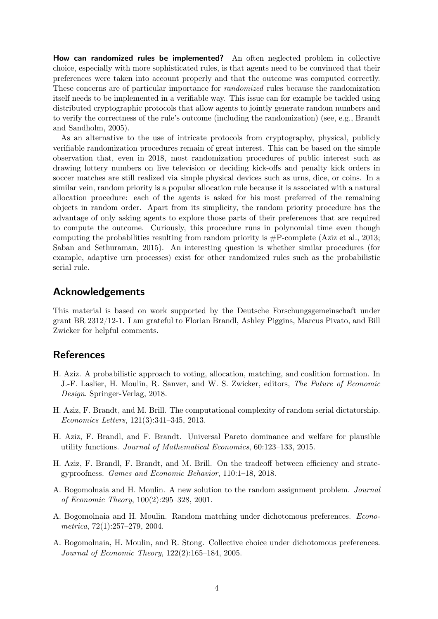How can randomized rules be implemented? An often neglected problem in collective choice, especially with more sophisticated rules, is that agents need to be convinced that their preferences were taken into account properly and that the outcome was computed correctly. These concerns are of particular importance for randomized rules because the randomization itself needs to be implemented in a verifiable way. This issue can for example be tackled using distributed cryptographic protocols that allow agents to jointly generate random numbers and to verify the correctness of the rule's outcome (including the randomization) (see, e.g., [Brandt](#page-4-18) [and Sandholm, 2005\)](#page-4-18).

As an alternative to the use of intricate protocols from cryptography, physical, publicly verifiable randomization procedures remain of great interest. This can be based on the simple observation that, even in 2018, most randomization procedures of public interest such as drawing lottery numbers on live television or deciding kick-offs and penalty kick orders in soccer matches are still realized via simple physical devices such as urns, dice, or coins. In a similar vein, random priority is a popular allocation rule because it is associated with a natural allocation procedure: each of the agents is asked for his most preferred of the remaining objects in random order. Apart from its simplicity, the random priority procedure has the advantage of only asking agents to explore those parts of their preferences that are required to compute the outcome. Curiously, this procedure runs in polynomial time even though computing the probabilities resulting from random priority is  $\#P$ -complete [\(Aziz et al., 2013;](#page-3-6) [Saban and Sethuraman, 2015\)](#page-5-5). An interesting question is whether similar procedures (for example, adaptive urn processes) exist for other randomized rules such as the probabilistic serial rule.

## Acknowledgements

This material is based on work supported by the Deutsche Forschungsgemeinschaft under grant BR 2312/12-1. I am grateful to Florian Brandl, Ashley Piggins, Marcus Pivato, and Bill Zwicker for helpful comments.

## References

- <span id="page-3-4"></span>H. Aziz. A probabilistic approach to voting, allocation, matching, and coalition formation. In J.-F. Laslier, H. Moulin, R. Sanver, and W. S. Zwicker, editors, The Future of Economic Design. Springer-Verlag, 2018.
- <span id="page-3-6"></span>H. Aziz, F. Brandt, and M. Brill. The computational complexity of random serial dictatorship. Economics Letters, 121(3):341–345, 2013.
- <span id="page-3-5"></span>H. Aziz, F. Brandl, and F. Brandt. Universal Pareto dominance and welfare for plausible utility functions. Journal of Mathematical Economics, 60:123–133, 2015.
- <span id="page-3-0"></span>H. Aziz, F. Brandl, F. Brandt, and M. Brill. On the tradeoff between efficiency and strategyproofness. Games and Economic Behavior, 110:1–18, 2018.
- <span id="page-3-1"></span>A. Bogomolnaia and H. Moulin. A new solution to the random assignment problem. Journal of Economic Theory, 100(2):295–328, 2001.
- <span id="page-3-3"></span>A. Bogomolnaia and H. Moulin. Random matching under dichotomous preferences. Econometrica, 72(1):257–279, 2004.
- <span id="page-3-2"></span>A. Bogomolnaia, H. Moulin, and R. Stong. Collective choice under dichotomous preferences. Journal of Economic Theory, 122(2):165–184, 2005.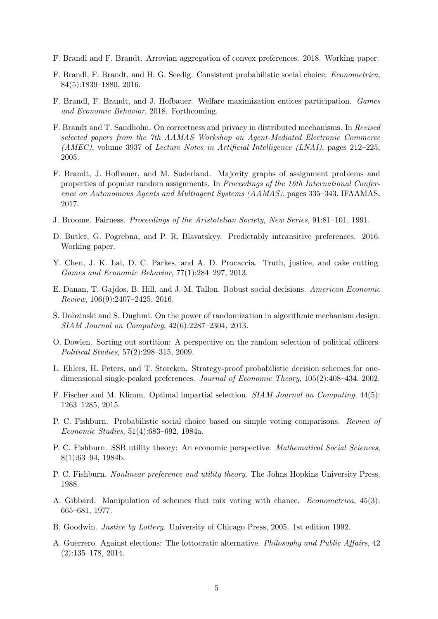- <span id="page-4-3"></span>F. Brandl and F. Brandt. Arrovian aggregation of convex preferences. 2018. Working paper.
- <span id="page-4-1"></span>F. Brandl, F. Brandt, and H. G. Seedig. Consistent probabilistic social choice. Econometrica, 84(5):1839–1880, 2016.
- <span id="page-4-2"></span>F. Brandl, F. Brandt, and J. Hofbauer. Welfare maximization entices participation. Games and Economic Behavior, 2018. Forthcoming.
- <span id="page-4-18"></span>F. Brandt and T. Sandholm. On correctness and privacy in distributed mechanisms. In Revised selected papers from the 7th AAMAS Workshop on Agent-Mediated Electronic Commerce (AMEC), volume 3937 of Lecture Notes in Artificial Intelligence (LNAI), pages 212–225, 2005.
- <span id="page-4-5"></span>F. Brandt, J. Hofbauer, and M. Suderland. Majority graphs of assignment problems and properties of popular random assignments. In Proceedings of the 16th International Conference on Autonomous Agents and Multiagent Systems (AAMAS), pages 335–343. IFAAMAS, 2017.
- <span id="page-4-13"></span>J. Broome. Fairness. Proceedings of the Aristotelian Society, New Series, 91:81–101, 1991.
- <span id="page-4-16"></span>D. Butler, G. Pogrebna, and P. R. Blavatskyy. Predictably intransitive preferences. 2016. Working paper.
- <span id="page-4-10"></span>Y. Chen, J. K. Lai, D. C. Parkes, and A. D. Procaccia. Truth, justice, and cake cutting. Games and Economic Behavior, 77(1):284–297, 2013.
- <span id="page-4-17"></span>E. Danan, T. Gajdos, B. Hill, and J.-M. Tallon. Robust social decisions. American Economic Review, 106(9):2407–2425, 2016.
- <span id="page-4-11"></span>S. Dobzinski and S. Dughmi. On the power of randomization in algorithmic mechanism design. SIAM Journal on Computing, 42(6):2287–2304, 2013.
- <span id="page-4-8"></span>O. Dowlen. Sorting out sortition: A perspective on the random selection of political officers. Political Studies, 57(2):298–315, 2009.
- <span id="page-4-6"></span>L. Ehlers, H. Peters, and T. Storcken. Strategy-proof probabilistic decision schemes for onedimensional single-peaked preferences. Journal of Economic Theory, 105(2):408–434, 2002.
- <span id="page-4-12"></span>F. Fischer and M. Klimm. Optimal impartial selection. SIAM Journal on Computing, 44(5): 1263–1285, 2015.
- <span id="page-4-4"></span>P. C. Fishburn. Probabilistic social choice based on simple voting comparisons. Review of Economic Studies, 51(4):683–692, 1984a.
- <span id="page-4-14"></span>P. C. Fishburn. SSB utility theory: An economic perspective. Mathematical Social Sciences, 8(1):63–94, 1984b.
- <span id="page-4-15"></span>P. C. Fishburn. Nonlinear preference and utility theory. The Johns Hopkins University Press, 1988.
- <span id="page-4-0"></span>A. Gibbard. Manipulation of schemes that mix voting with chance. Econometrica, 45(3): 665–681, 1977.
- <span id="page-4-7"></span>B. Goodwin. Justice by Lottery. University of Chicago Press, 2005. 1st edition 1992.
- <span id="page-4-9"></span>A. Guerrero. Against elections: The lottocratic alternative. Philosophy and Public Affairs, 42 (2):135–178, 2014.